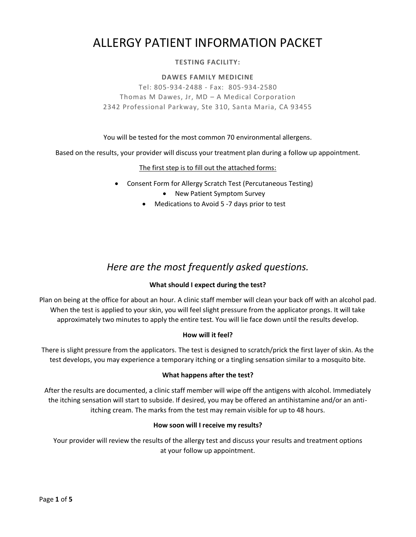# ALLERGY PATIENT INFORMATION PACKET

### **TESTING FACILITY:**

### **DAWES FAMILY MEDICINE**

Tel: 805-934-2488 - Fax: 805-934-2580 Thomas M Dawes, Jr, MD – A Medical Corporation 2342 Professional Parkway, Ste 310, Santa Maria, CA 93455

You will be tested for the most common 70 environmental allergens.

Based on the results, your provider will discuss your treatment plan during a follow up appointment.

The first step is to fill out the attached forms:

- Consent Form for Allergy Scratch Test (Percutaneous Testing)
	- New Patient Symptom Survey
	- Medications to Avoid 5 -7 days prior to test

### *Here are the most frequently asked questions.*

### **What should I expect during the test?**

Plan on being at the office for about an hour. A clinic staff member will clean your back off with an alcohol pad. When the test is applied to your skin, you will feel slight pressure from the applicator prongs. It will take approximately two minutes to apply the entire test. You will lie face down until the results develop.

### **How will it feel?**

There is slight pressure from the applicators. The test is designed to scratch/prick the first layer of skin. As the test develops, you may experience a temporary itching or a tingling sensation similar to a mosquito bite.

### **What happens after the test?**

After the results are documented, a clinic staff member will wipe off the antigens with alcohol. Immediately the itching sensation will start to subside. If desired, you may be offered an antihistamine and/or an antiitching cream. The marks from the test may remain visible for up to 48 hours.

### **How soon will I receive my results?**

Your provider will review the results of the allergy test and discuss your results and treatment options at your follow up appointment.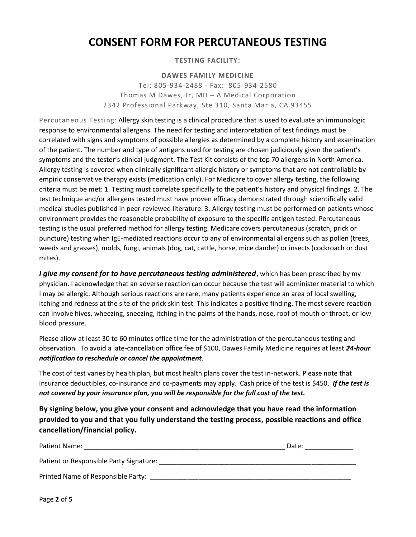## **CONSENT FORM FOR PERCUTANEOUS TESTING**

### **TESTING FACILITY:**

### **DAWES FAMILY MEDICINE**

Tel: 805-934-2488 - Fax: 805-934-2580 Thomas M Dawes, Jr, MD – A Medical Corporation 2342 Professional Parkway, Ste 310, Santa Maria, CA 93455

Percutaneous Testing: Allergy skin testing is a clinical procedure that is used to evaluate an immunologic response to environmental allergens. The need for testing and interpretation of test findings must be correlated with signs and symptoms of possible allergies as determined by a complete history and examination of the patient. The number and type of antigens used for testing are chosen judiciously given the patient's symptoms and the tester's clinical judgment. The Test Kit consists of the top 70 allergens in North America. Allergy testing is covered when clinically significant allergic history or symptoms that are not controllable by empiric conservative therapy exists (medication only). For Medicare to cover allergy testing, the following criteria must be met: 1. Testing must correlate specifically to the patient's history and physical findings. 2. The test technique and/or allergens tested must have proven efficacy demonstrated through scientifically valid medical studies published in peer-reviewed literature. 3. Allergy testing must be performed on patients whose environment provides the reasonable probability of exposure to the specific antigen tested. Percutaneous testing is the usual preferred method for allergy testing. Medicare covers percutaneous (scratch, prick or puncture) testing when IgE-mediated reactions occur to any of environmental allergens such as pollen (trees, weeds and grasses), molds, fungi, animals (dog, cat, cattle, horse, mice dander) or insects (cockroach or dust mites).

*I give my consent for to have percutaneous testing administered*, which has been prescribed by my physician. I acknowledge that an adverse reaction can occur because the test will administer material to which I may be allergic. Although serious reactions are rare, many patients experience an area of local swelling, itching and redness at the site of the prick skin test. This indicates a positive finding. The most severe reaction can involve hives, wheezing, sneezing, itching in the palms of the hands, nose, roof of mouth or throat, or low blood pressure.

Please allow at least 30 to 60 minutes office time for the administration of the percutaneous testing and observation. To avoid a late-cancellation office fee of \$100, Dawes Family Medicine requires at least *24-hour notification to reschedule or cancel the appointment*.

The cost of test varies by health plan, but most health plans cover the test in-network. Please note that insurance deductibles, co-insurance and co-payments may apply. Cash price of the test is \$450. *If the test is not covered by your insurance plan, you will be responsible for the full cost of the test.*

**By signing below, you give your consent and acknowledge that you have read the information provided to you and that you fully understand the testing process, possible reactions and office cancellation/financial policy.**

| Patient Name:                           | Date: |
|-----------------------------------------|-------|
| Patient or Responsible Party Signature: |       |
| Printed Name of Responsible Party:      |       |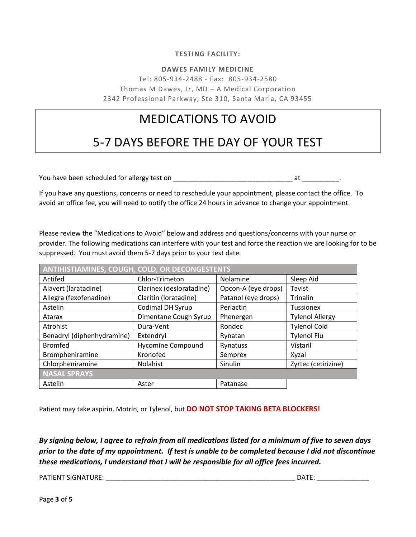### **TESTING FACILITY:**

### **DAWES FAMILY MEDICINE**

Tel: 805-934-2488 - Fax: 805-934-2580 Thomas M Dawes, Jr, MD – A Medical Corporation 2342 Professional Parkway, Ste 310, Santa Maria, CA 93455

## MEDICATIONS TO AVOID

# 5-7 DAYS BEFORE THE DAY OF YOUR TEST

You have been scheduled for allergy test on \_\_\_\_\_\_\_\_\_\_\_\_\_\_\_\_\_\_\_\_\_\_\_\_\_\_\_\_\_\_\_\_ at \_\_\_\_\_\_\_\_\_\_.

If you have any questions, concerns or need to reschedule your appointment, please contact the office. To avoid an office fee, you will need to notify the office 24 hours in advance to change your appointment.

Please review the "Medications to Avoid" below and address and questions/concerns with your nurse or provider. The following medications can interfere with your test and force the reaction we are looking for to be suppressed. You must avoid them 5-7 days prior to your test date.

| <b>ANTIHISTIAMINES, COUGH, COLD, OR DECONGESTENTS</b> |                          |                     |                        |
|-------------------------------------------------------|--------------------------|---------------------|------------------------|
| Actifed                                               | Chlor-Trimeton           | Nolamine            | Sleep Aid              |
| Alavert (laratadine)                                  | Clarinex (desloratadine) | Opcon-A (eye drops) | Tavist                 |
| Allegra (fexofenadine)                                | Claritin (loratadine)    | Patanol (eye drops) | Trinalin               |
| Astelin                                               | Codimal DH Syrup         | Periactin           | <b>Tussionex</b>       |
| Atarax                                                | Dimentane Cough Syrup    | Phenergen           | <b>Tylenol Allergy</b> |
| Atrohist                                              | Dura-Vent                | Rondec              | <b>Tylenol Cold</b>    |
| Benadryl (diphenhydramine)                            | Extendryl                | Rynatan             | <b>Tylenol Flu</b>     |
| <b>Bromfed</b>                                        | <b>Hycomine Compound</b> | Rynatuss            | Vistaril               |
| Brompheniramine                                       | Kronofed                 | Semprex             | Xyzal                  |
| Chlorpheniramine                                      | Nolahist                 | Sinulin             | Zyrtec (cetirizine)    |
| NASAL SPRAYS                                          |                          |                     |                        |
| Astelin                                               | Aster                    | Patanase            |                        |

Patient may take aspirin, Motrin, or Tylenol, but **DO NOT STOP TAKING BETA BLOCKERS!**

*By signing below, I agree to refrain from all medications listed for a minimum of five to seven days prior to the date of my appointment. If test is unable to be completed because I did not discontinue these medications, I understand that I will be responsible for all office fees incurred.*

PATIENT SIGNATURE: \_\_\_\_\_\_\_\_\_\_\_\_\_\_\_\_\_\_\_\_\_\_\_\_\_\_\_\_\_\_\_\_\_\_\_\_\_\_\_\_\_\_\_\_\_\_\_\_\_\_\_ DATE: \_\_\_\_\_\_\_\_\_\_\_\_\_\_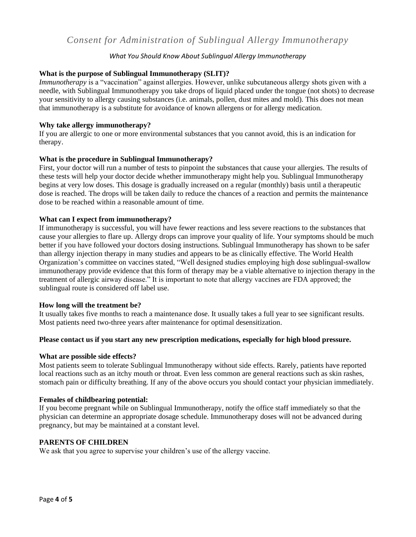### *Consent for Administration of Sublingual Allergy Immunotherapy*

### *What You Should Know About Sublingual Allergy Immunotherapy*

### **What is the purpose of Sublingual Immunotherapy (SLIT)?**

*Immunotherapy* is a "vaccination" against allergies. However, unlike subcutaneous allergy shots given with a needle, with Sublingual Immunotherapy you take drops of liquid placed under the tongue (not shots) to decrease your sensitivity to allergy causing substances (i.e. animals, pollen, dust mites and mold). This does not mean that immunotherapy is a substitute for avoidance of known allergens or for allergy medication.

### **Why take allergy immunotherapy?**

If you are allergic to one or more environmental substances that you cannot avoid, this is an indication for therapy.

### **What is the procedure in Sublingual Immunotherapy?**

First, your doctor will run a number of tests to pinpoint the substances that cause your allergies. The results of these tests will help your doctor decide whether immunotherapy might help you. Sublingual Immunotherapy begins at very low doses. This dosage is gradually increased on a regular (monthly) basis until a therapeutic dose is reached. The drops will be taken daily to reduce the chances of a reaction and permits the maintenance dose to be reached within a reasonable amount of time.

### **What can I expect from immunotherapy?**

If immunotherapy is successful, you will have fewer reactions and less severe reactions to the substances that cause your allergies to flare up. Allergy drops can improve your quality of life. Your symptoms should be much better if you have followed your doctors dosing instructions. Sublingual Immunotherapy has shown to be safer than allergy injection therapy in many studies and appears to be as clinically effective. The World Health Organization's committee on vaccines stated, "Well designed studies employing high dose sublingual-swallow immunotherapy provide evidence that this form of therapy may be a viable alternative to injection therapy in the treatment of allergic airway disease." It is important to note that allergy vaccines are FDA approved; the sublingual route is considered off label use.

### **How long will the treatment be?**

It usually takes five months to reach a maintenance dose. It usually takes a full year to see significant results. Most patients need two-three years after maintenance for optimal desensitization.

### **Please contact us if you start any new prescription medications, especially for high blood pressure.**

### **What are possible side effects?**

Most patients seem to tolerate Sublingual Immunotherapy without side effects. Rarely, patients have reported local reactions such as an itchy mouth or throat. Even less common are general reactions such as skin rashes, stomach pain or difficulty breathing. If any of the above occurs you should contact your physician immediately.

### **Females of childbearing potential:**

If you become pregnant while on Sublingual Immunotherapy, notify the office staff immediately so that the physician can determine an appropriate dosage schedule. Immunotherapy doses will not be advanced during pregnancy, but may be maintained at a constant level.

### **PARENTS OF CHILDREN**

We ask that you agree to supervise your children's use of the allergy vaccine.